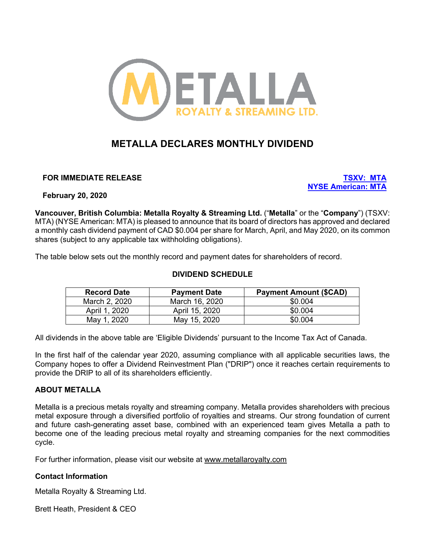

# **METALLA DECLARES MONTHLY DIVIDEND**

**FOR IMMEDIATE RELEASE TSXV: MTA**

**NYSE American: MTA**

**February 20, 2020**

**Vancouver, British Columbia: Metalla Royalty & Streaming Ltd.** ("**Metalla**" or the "**Company**") (TSXV: MTA) (NYSE American: MTA) is pleased to announce that its board of directors has approved and declared a monthly cash dividend payment of CAD \$0.004 per share for March, April, and May 2020, on its common shares (subject to any applicable tax withholding obligations).

The table below sets out the monthly record and payment dates for shareholders of record.

# **DIVIDEND SCHEDULE**

| <b>Record Date</b> | <b>Payment Date</b> | <b>Payment Amount (\$CAD)</b> |
|--------------------|---------------------|-------------------------------|
| March 2, 2020      | March 16, 2020      | \$0.004                       |
| April 1, 2020      | April 15, 2020      | \$0.004                       |
| May 1, 2020        | May 15, 2020        | \$0.004                       |

All dividends in the above table are 'Eligible Dividends' pursuant to the Income Tax Act of Canada.

In the first half of the calendar year 2020, assuming compliance with all applicable securities laws, the Company hopes to offer a Dividend Reinvestment Plan ("DRIP") once it reaches certain requirements to provide the DRIP to all of its shareholders efficiently.

# **ABOUT METALLA**

Metalla is a precious metals royalty and streaming company. Metalla provides shareholders with precious metal exposure through a diversified portfolio of royalties and streams. Our strong foundation of current and future cash-generating asset base, combined with an experienced team gives Metalla a path to become one of the leading precious metal royalty and streaming companies for the next commodities cycle.

For further information, please visit our website at www.metallaroyalty.com

## **Contact Information**

Metalla Royalty & Streaming Ltd.

Brett Heath, President & CEO